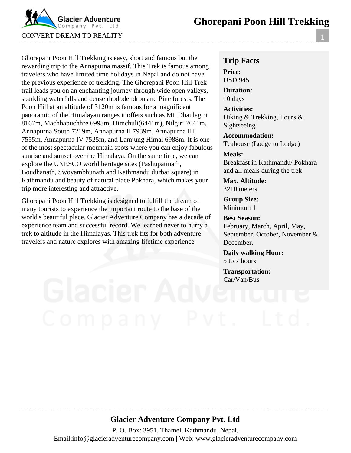# **Ghorepani Poon Hill Trekking**



Ghorepani Poon Hill Trekking is easy, short and famous but the rewarding trip to the Annapurna massif. This Trek is famous among travelers who have limited time holidays in Nepal and do not have the previous experience of trekking. The Ghorepani Poon Hill Trek trail leads you on an enchanting journey through wide open valleys, sparkling waterfalls and dense rhododendron and Pine forests. The Poon Hill at an altitude of 3120m is famous for a magnificent panoramic of the Himalayan ranges it offers such as Mt. Dhaulagiri 8167m, Machhapuchhre 6993m, Himchuli(6441m), Nilgiri 7041m, Annapurna South 7219m, Annapurna II 7939m, Annapurna III 7555m, Annapurna IV 7525m, and Lamjung Himal 6988m. It is one of the most spectacular mountain spots where you can enjoy fabulous sunrise and sunset over the Himalaya. On the same time, we can explore the UNESCO world heritage sites (Pashupatinath, Boudhanath, Swoyambhunath and Kathmandu durbar square) in Kathmandu and beauty of natural place Pokhara, which makes your trip more interesting and attractive.

Ghorepani Poon Hill Trekking is designed to fulfill the dream of many tourists to experience the important route to the base of the world's beautiful place. Glacier Adventure Company has a decade of experience team and successful record. We learned never to hurry a trek to altitude in the Himalayas. This trek fits for both adventure travelers and nature explores with amazing lifetime experience.

### **Trip Facts Price:** USD 945

**Duration:** 10 days

**Activities:** Hiking & Trekking, Tours & Sightseeing

**Accommodation:** Teahouse (Lodge to Lodge)

#### **Meals:**

Breakfast in Kathmandu/ Pokhara and all meals during the trek

**Max. Altitude:** 3210 meters

**Group Size:** Minimum 1

**Best Season:** February, March, April, May, September, October, November & December.

**Daily walking Hour:** 5 to 7 hours

**Transportation:** Car/Van/Bus

# **Glacier Adventure Company Pvt. Ltd**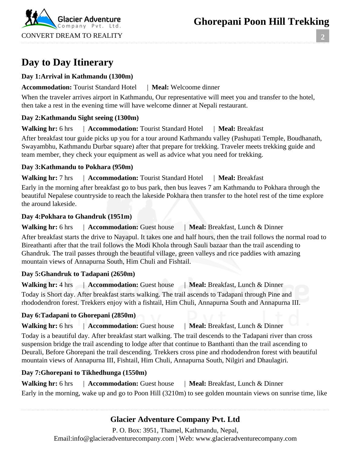**2**

**Day to Day Itinerary**

CONVERT DREAM TO REALITY

Company Pvt. Ltd.

#### **Day 1:Arrival in Kathmandu (1300m)**

#### **Accommodation:** Tourist Standard Hotel | **Meal:** Welcoome dinner

When the traveler arrives airport in Kathmandu, Our representative will meet you and transfer to the hotel, then take a rest in the evening time will have welcome dinner at Nepali restaurant.

#### **Day 2:Kathmandu Sight seeing (1300m)**

**Walking hr:** 6 hrs | **Accommodation:** Tourist Standard Hotel | **Meal:** Breakfast

After breakfast tour guide picks up you for a tour around Kathmandu valley (Pashupati Temple, Boudhanath, Swayambhu, Kathmandu Durbar square) after that prepare for trekking. Traveler meets trekking guide and team member, they check your equipment as well as advice what you need for trekking.

#### **Day 3:Kathmandu to Pokhara (950m)**

#### **Walking hr:** 7 hrs | **Accommodation:** Tourist Standard Hotel | **Meal:** Breakfast

Early in the morning after breakfast go to bus park, then bus leaves 7 am Kathmandu to Pokhara through the beautiful Nepalese countryside to reach the lakeside Pokhara then transfer to the hotel rest of the time explore the around lakeside.

#### **Day 4:Pokhara to Ghandruk (1951m)**

**Walking hr:** 6 hrs | **Accommodation:** Guest house | **Meal:** Breakfast, Lunch & Dinner

After breakfast starts the drive to Nayapul. It takes one and half hours, then the trail follows the normal road to Bireathanti after that the trail follows the Modi Khola through Sauli bazaar than the trail ascending to Ghandruk. The trail passes through the beautiful village, green valleys and rice paddies with amazing mountain views of Annapurna South, Him Chuli and Fishtail.

### **Day 5:Ghandruk to Tadapani (2650m)**

Walking hr: 4 hrs | **Accommodation:** Guest house | **Meal:** Breakfast, Lunch & Dinner Today is Short day. After breakfast starts walking. The trail ascends to Tadapani through Pine and rhododendron forest. Trekkers enjoy with a fishtail, Him Chuli, Annapurna South and Annapurna III.

### **Day 6:Tadapani to Ghorepani (2850m)**

**Walking hr:** 6 hrs | **Accommodation:** Guest house | **Meal:** Breakfast, Lunch & Dinner

Today is a beautiful day. After breakfast start walking. The trail descends to the Tadapani river than cross suspension bridge the trail ascending to lodge after that continue to Banthanti than the trail ascending to Deurali, Before Ghorepani the trail descending. Trekkers cross pine and rhododendron forest with beautiful mountain views of Annapurna III, Fishtail, Him Chuli, Annapurna South, Nilgiri and Dhaulagiri.

### **Day 7:Ghorepani to Tikhedhunga (1550m)**

**Walking hr:** 6 hrs | **Accommodation:** Guest house | **Meal:** Breakfast, Lunch & Dinner Early in the morning, wake up and go to Poon Hill (3210m) to see golden mountain views on sunrise time, like

## **Glacier Adventure Company Pvt. Ltd**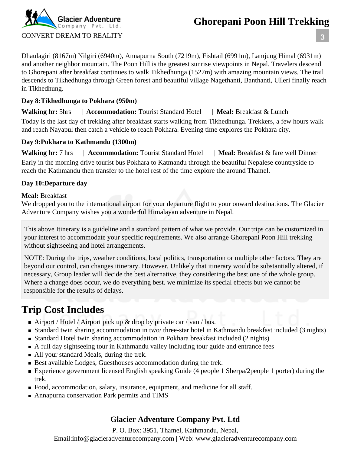# **Ghorepani Poon Hill Trekking**



**3**

Dhaulagiri (8167m) Nilgiri (6940m), Annapurna South (7219m), Fishtail (6991m), Lamjung Himal (6931m) and another neighbor mountain. The Poon Hill is the greatest sunrise viewpoints in Nepal. Travelers descend to Ghorepani after breakfast continues to walk Tikhedhunga (1527m) with amazing mountain views. The trail descends to Tikhedhunga through Green forest and beautiful village Nagethanti, Banthanti, Ulleri finally reach in Tikhedhung.

#### **Day 8:Tikhedhunga to Pokhara (950m)**

**Walking hr:** 5hrs | **Accommodation:** Tourist Standard Hotel | **Meal:** Breakfast & Lunch Today is the last day of trekking after breakfast starts walking from Tikhedhunga. Trekkers, a few hours walk and reach Nayapul then catch a vehicle to reach Pokhara. Evening time explores the Pokhara city.

#### **Day 9:Pokhara to Kathmandu (1300m)**

**Walking hr:** 7 hrs | **Accommodation:** Tourist Standard Hotel | **Meal:** Breakfast & fare well Dinner Early in the morning drive tourist bus Pokhara to Katmandu through the beautiful Nepalese countryside to reach the Kathmandu then transfer to the hotel rest of the time explore the around Thamel.

#### **Day 10:Departure day**

#### **Meal:** Breakfast

We dropped you to the international airport for your departure flight to your onward destinations. The Glacier Adventure Company wishes you a wonderful Himalayan adventure in Nepal.

This above Itinerary is a guideline and a standard pattern of what we provide. Our trips can be customized in your interest to accommodate your specific requirements. We also arrange Ghorepani Poon Hill trekking without sightseeing and hotel arrangements.

NOTE: During the trips, weather conditions, local politics, transportation or multiple other factors. They are beyond our control, can changes itinerary. However, Unlikely that itinerary would be substantially altered, if necessary, Group leader will decide the best alternative, they considering the best one of the whole group. Where a change does occur, we do everything best. we minimize its special effects but we cannot be responsible for the results of delays.

# **Trip Cost Includes**

- Airport / Hotel / Airport pick up  $\&$  drop by private car / van / bus.
- **Standard twin sharing accommodation in two/ three-star hotel in Kathmandu breakfast included (3 nights)**
- **Standard Hotel twin sharing accommodation in Pokhara breakfast included (2 nights)**
- A full day sightseeing tour in Kathmandu valley including tour guide and entrance fees
- All your standard Meals, during the trek.
- Best available Lodges, Guesthouses accommodation during the trek.
- Experience government licensed English speaking Guide (4 people 1 Sherpa/2people 1 porter) during the trek.
- Food, accommodation, salary, insurance, equipment, and medicine for all staff.
- Annapurna conservation Park permits and TIMS

### **Glacier Adventure Company Pvt. Ltd**

P. O. Box: 3951, Thamel, Kathmandu, Nepal,

Email:info@glacieradventurecompany.com | Web: www.glacieradventurecompany.com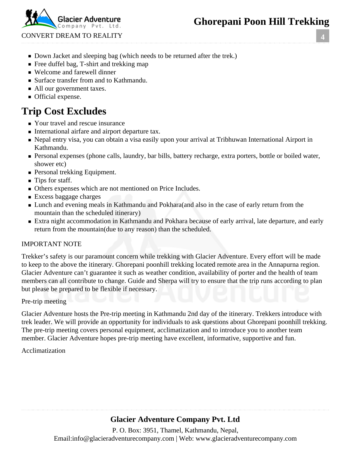# **Ghorepani Poon Hill Trekking**

Company Pvt.

CONVERT DREAM TO REALITY

- Down Jacket and sleeping bag (which needs to be returned after the trek.)
- Free duffel bag, T-shirt and trekking map
- Welcome and farewell dinner
- Surface transfer from and to Kathmandu.
- All our government taxes.
- **Official expense.**

# **Trip Cost Excludes**

- Your travel and rescue insurance
- International airfare and airport departure tax.
- Nepal entry visa, you can obtain a visa easily upon your arrival at Tribhuwan International Airport in Kathmandu.
- **Personal expenses (phone calls, laundry, bar bills, battery recharge, extra porters, bottle or boiled water,** shower etc)
- **Personal trekking Equipment.**
- Tips for staff.
- Others expenses which are not mentioned on Price Includes.
- **Excess baggage charges**
- **Lunch and evening meals in Kathmandu and Pokhara** (and also in the case of early return from the mountain than the scheduled itinerary)
- Extra night accommodation in Kathmandu and Pokhara because of early arrival, late departure, and early return from the mountain(due to any reason) than the scheduled.

#### IMPORTANT NOTE

Trekker's safety is our paramount concern while trekking with Glacier Adventure. Every effort will be made to keep to the above the itinerary. Ghorepani poonhill trekking located remote area in the Annapurna region. Glacier Adventure can't guarantee it such as weather condition, availability of porter and the health of team members can all contribute to change. Guide and Sherpa will try to ensure that the trip runs according to plan but please be prepared to be flexible if necessary.

#### Pre-trip meeting

Glacier Adventure hosts the Pre-trip meeting in Kathmandu 2nd day of the itinerary. Trekkers introduce with trek leader. We will provide an opportunity for individuals to ask questions about Ghorepani poonhill trekking. The pre-trip meeting covers personal equipment, acclimatization and to introduce you to another team member. Glacier Adventure hopes pre-trip meeting have excellent, informative, supportive and fun.

#### Acclimatization

## **Glacier Adventure Company Pvt. Ltd**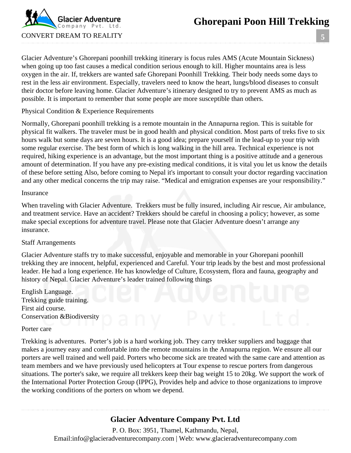

**5**

Glacier Adventure's Ghorepani poonhill trekking itinerary is focus rules AMS (Acute Mountain Sickness) when going up too fast causes a medical condition serious enough to kill. Higher mountains area is less oxygen in the air. If, trekkers are wanted safe Ghorepani Poonhill Trekking. Their body needs some days to rest in the less air environment. Especially, travelers need to know the heart, lungs/blood diseases to consult their doctor before leaving home. Glacier Adventure's itinerary designed to try to prevent AMS as much as possible. It is important to remember that some people are more susceptible than others.

Physical Condition & Experience Requirements

Normally, Ghorepani poonhill trekking is a remote mountain in the Annapurna region. This is suitable for physical fit walkers. The traveler must be in good health and physical condition. Most parts of treks five to six hours walk but some days are seven hours. It is a good idea; prepare yourself in the lead-up to your trip with some regular exercise. The best form of which is long walking in the hill area. Technical experience is not required, hiking experience is an advantage, but the most important thing is a positive attitude and a generous amount of determination. If you have any pre-existing medical conditions, it is vital you let us know the details of these before setting Also, before coming to Nepal it's important to consult your doctor regarding vaccination and any other medical concerns the trip may raise. "Medical and emigration expenses are your responsibility."

#### Insurance

When traveling with Glacier Adventure. Trekkers must be fully insured, including Air rescue, Air ambulance, and treatment service. Have an accident? Trekkers should be careful in choosing a policy; however, as some make special exceptions for adventure travel. Please note that Glacier Adventure doesn't arrange any insurance.

#### Staff Arrangements

Glacier Adventure staffs try to make successful, enjoyable and memorable in your Ghorepani poonhill trekking they are innocent, helpful, experienced and Careful. Your trip leads by the best and most professional leader. He had a long experience. He has knowledge of Culture, Ecosystem, flora and fauna, geography and history of Nepal. Glacier Adventure's leader trained following things

English Language. Trekking guide training. First aid course. Conservation &Biodiversity

#### Porter care

Trekking is adventures. Porter's job is a hard working job. They carry trekker suppliers and baggage that makes a journey easy and comfortable into the remote mountains in the Annapurna region. We ensure all our porters are well trained and well paid. Porters who become sick are treated with the same care and attention as team members and we have previously used helicopters at Tour expense to rescue porters from dangerous situations. The porter's sake, we require all trekkers keep their bag weight 15 to 20kg. We support the work of the International Porter Protection Group (IPPG), Provides help and advice to those organizations to improve the working conditions of the porters on whom we depend.

### **Glacier Adventure Company Pvt. Ltd**